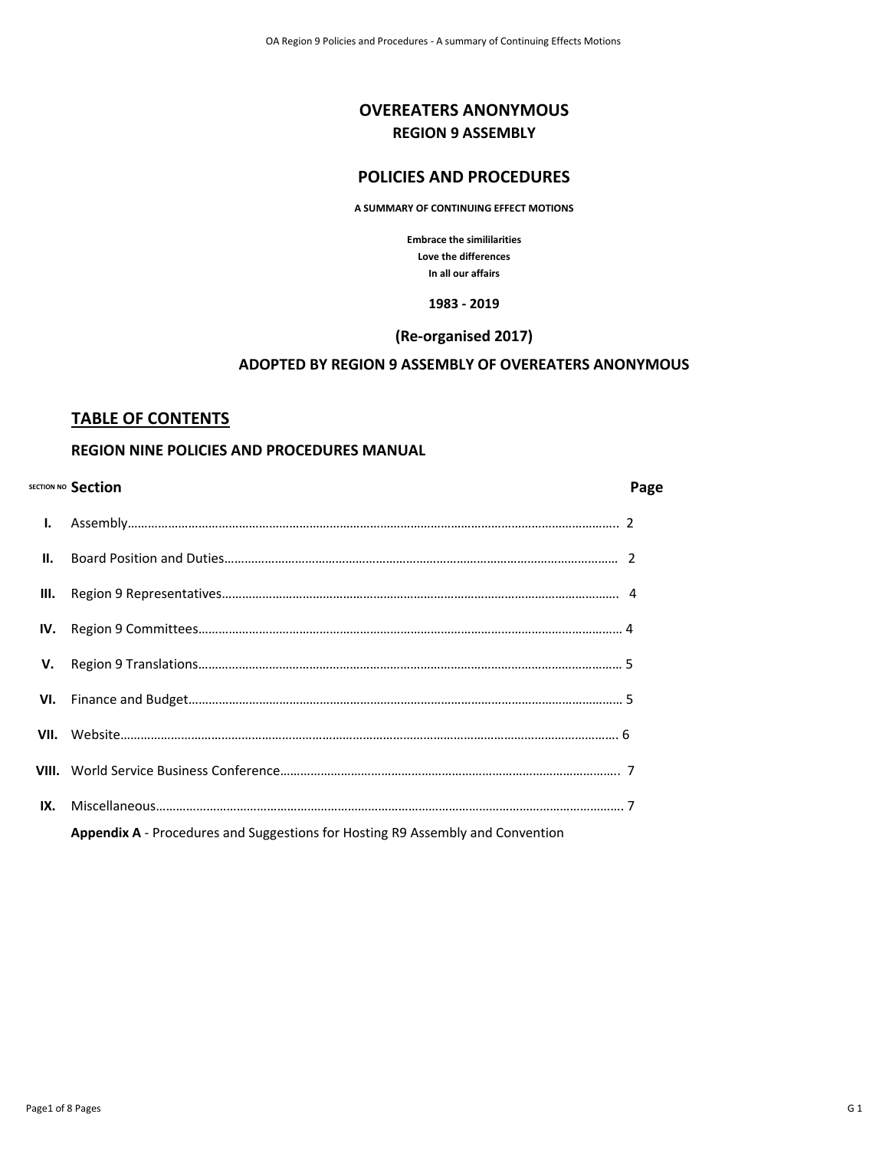# **OVEREATERS ANONYMOUS REGION 9 ASSEMBLY**

# **POLICIES AND PROCEDURES**

**A SUMMARY OF CONTINUING EFFECT MOTIONS**

**Embrace the simililarities Love the differences In all our affairs**

#### **1983 - 2019**

#### **(Re-organised 2017)**

## **ADOPTED BY REGION 9 ASSEMBLY OF OVEREATERS ANONYMOUS**

### **TABLE OF CONTENTS**

### **REGION NINE POLICIES AND PROCEDURES MANUAL**

|                | SECTION NO Section                                                                    | Page |
|----------------|---------------------------------------------------------------------------------------|------|
| $\mathbf{I}$ . |                                                                                       |      |
| H.             |                                                                                       |      |
| Ш.             |                                                                                       |      |
| IV.            |                                                                                       |      |
| V.             |                                                                                       |      |
|                |                                                                                       |      |
|                |                                                                                       |      |
|                |                                                                                       |      |
| IX.            |                                                                                       |      |
|                | <b>Appendix A</b> - Procedures and Suggestions for Hosting R9 Assembly and Convention |      |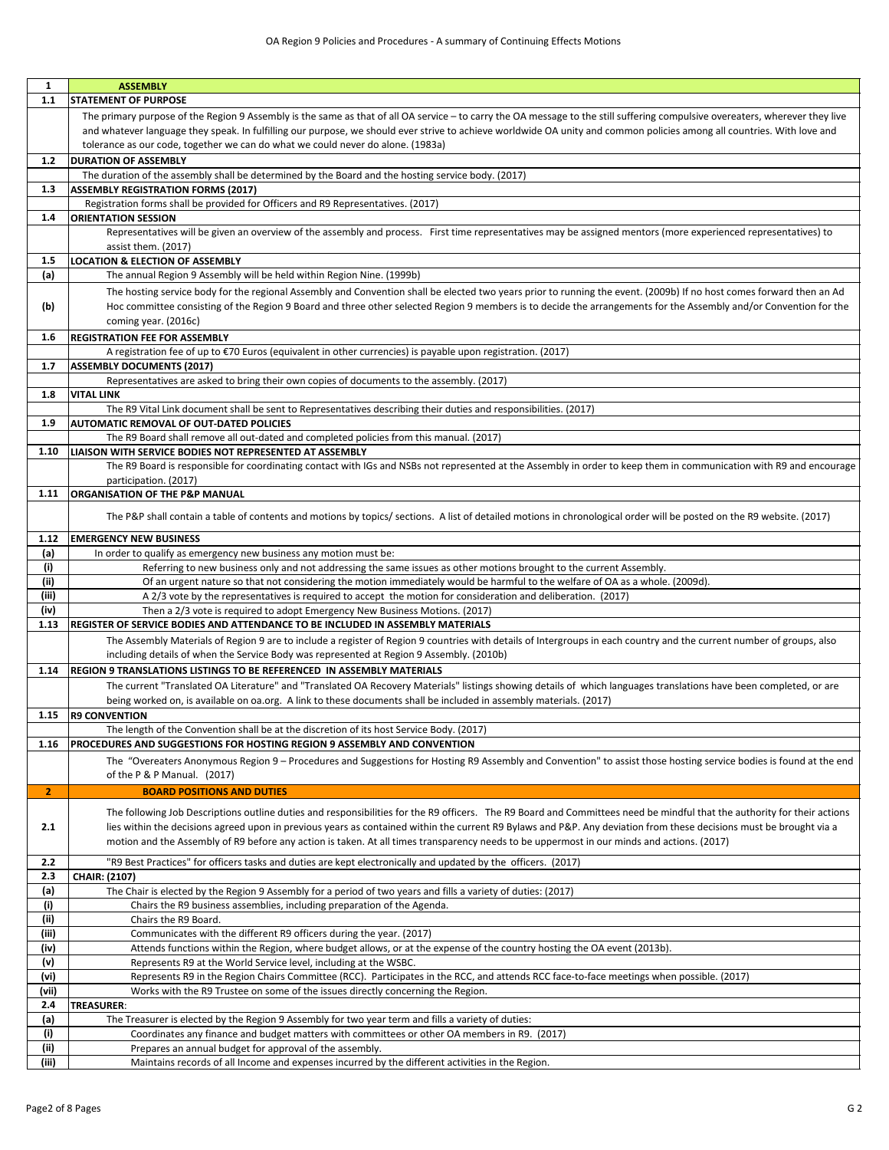| 1            | <b>ASSEMBLY</b>                                                                                                                                                               |
|--------------|-------------------------------------------------------------------------------------------------------------------------------------------------------------------------------|
| $1.1$        | <b>STATEMENT OF PURPOSE</b>                                                                                                                                                   |
|              | The primary purpose of the Region 9 Assembly is the same as that of all OA service - to carry the OA message to the still suffering compulsive overeaters, wherever they live |
|              | and whatever language they speak. In fulfilling our purpose, we should ever strive to achieve worldwide OA unity and common policies among all countries. With love and       |
|              | tolerance as our code, together we can do what we could never do alone. (1983a)                                                                                               |
| $1.2$        | <b>DURATION OF ASSEMBLY</b>                                                                                                                                                   |
|              | The duration of the assembly shall be determined by the Board and the hosting service body. (2017)                                                                            |
| 1.3          | <b>ASSEMBLY REGISTRATION FORMS (2017)</b>                                                                                                                                     |
|              | Registration forms shall be provided for Officers and R9 Representatives. (2017)                                                                                              |
| 1.4          | <b>ORIENTATION SESSION</b>                                                                                                                                                    |
|              | Representatives will be given an overview of the assembly and process. First time representatives may be assigned mentors (more experienced representatives) to               |
|              | assist them. (2017)                                                                                                                                                           |
| 1.5          | <b>LOCATION &amp; ELECTION OF ASSEMBLY</b>                                                                                                                                    |
| (a)          | The annual Region 9 Assembly will be held within Region Nine. (1999b)                                                                                                         |
|              | The hosting service body for the regional Assembly and Convention shall be elected two years prior to running the event. (2009b) If no host comes forward then an Ad          |
| (b)          | Hoc committee consisting of the Region 9 Board and three other selected Region 9 members is to decide the arrangements for the Assembly and/or Convention for the             |
|              | coming year. (2016c)                                                                                                                                                          |
| 1.6          | <b>REGISTRATION FEE FOR ASSEMBLY</b>                                                                                                                                          |
|              | A registration fee of up to €70 Euros (equivalent in other currencies) is payable upon registration. (2017)                                                                   |
| 1.7          | <b>ASSEMBLY DOCUMENTS (2017)</b>                                                                                                                                              |
|              | Representatives are asked to bring their own copies of documents to the assembly. (2017)                                                                                      |
| 1.8          | <b>VITAL LINK</b>                                                                                                                                                             |
|              | The R9 Vital Link document shall be sent to Representatives describing their duties and responsibilities. (2017)                                                              |
| 1.9          | AUTOMATIC REMOVAL OF OUT-DATED POLICIES                                                                                                                                       |
|              | The R9 Board shall remove all out-dated and completed policies from this manual. (2017)                                                                                       |
| 1.10         | LIAISON WITH SERVICE BODIES NOT REPRESENTED AT ASSEMBLY                                                                                                                       |
|              | The R9 Board is responsible for coordinating contact with IGs and NSBs not represented at the Assembly in order to keep them in communication with R9 and encourage           |
|              | participation. (2017)                                                                                                                                                         |
| 1.11         | <b>ORGANISATION OF THE P&amp;P MANUAL</b>                                                                                                                                     |
|              | The P&P shall contain a table of contents and motions by topics/ sections. A list of detailed motions in chronological order will be posted on the R9 website. (2017)         |
|              |                                                                                                                                                                               |
| 1.12         | <b>EMERGENCY NEW BUSINESS</b>                                                                                                                                                 |
| (a)          | In order to qualify as emergency new business any motion must be:                                                                                                             |
| (i)          | Referring to new business only and not addressing the same issues as other motions brought to the current Assembly.                                                           |
| (iii)        | Of an urgent nature so that not considering the motion immediately would be harmful to the welfare of OA as a whole. (2009d).                                                 |
| (iii)        | A 2/3 vote by the representatives is required to accept the motion for consideration and deliberation. (2017)                                                                 |
| (iv)         | Then a 2/3 vote is required to adopt Emergency New Business Motions. (2017)                                                                                                   |
| 1.13         | <b>REGISTER OF SERVICE BODIES AND ATTENDANCE TO BE INCLUDED IN ASSEMBLY MATERIALS</b>                                                                                         |
|              | The Assembly Materials of Region 9 are to include a register of Region 9 countries with details of Intergroups in each country and the current number of groups, also         |
|              | including details of when the Service Body was represented at Region 9 Assembly. (2010b)                                                                                      |
| 1.14         | <b>REGION 9 TRANSLATIONS LISTINGS TO BE REFERENCED IN ASSEMBLY MATERIALS</b>                                                                                                  |
|              | The current "Translated OA Literature" and "Translated OA Recovery Materials" listings showing details of which languages translations have been completed, or are            |
|              | being worked on, is available on oa.org. A link to these documents shall be included in assembly materials. (2017)                                                            |
| 1.15         | <b>R9 CONVENTION</b>                                                                                                                                                          |
|              | The length of the Convention shall be at the discretion of its host Service Body. (2017)                                                                                      |
| 1.16         | PROCEDURES AND SUGGESTIONS FOR HOSTING REGION 9 ASSEMBLY AND CONVENTION                                                                                                       |
|              | The "Overeaters Anonymous Region 9 - Procedures and Suggestions for Hosting R9 Assembly and Convention" to assist those hosting service bodies is found at the end            |
|              | of the P & P Manual. (2017)                                                                                                                                                   |
| $\mathbf{2}$ | <b>BOARD POSITIONS AND DUTIES</b>                                                                                                                                             |
|              | The following Job Descriptions outline duties and responsibilities for the R9 officers. The R9 Board and Committees need be mindful that the authority for their actions      |
| 2.1          | lies within the decisions agreed upon in previous years as contained within the current R9 Bylaws and P&P. Any deviation from these decisions must be brought via a           |
|              | motion and the Assembly of R9 before any action is taken. At all times transparency needs to be uppermost in our minds and actions. (2017)                                    |
| 2.2          | "R9 Best Practices" for officers tasks and duties are kept electronically and updated by the officers. (2017)                                                                 |
| 2.3          | CHAIR: (2107)                                                                                                                                                                 |
| (a)          | The Chair is elected by the Region 9 Assembly for a period of two years and fills a variety of duties: (2017)                                                                 |
| (i)          | Chairs the R9 business assemblies, including preparation of the Agenda.                                                                                                       |
| (ii)         | Chairs the R9 Board.                                                                                                                                                          |
| (iii)        | Communicates with the different R9 officers during the year. (2017)                                                                                                           |
| (iv)         | Attends functions within the Region, where budget allows, or at the expense of the country hosting the OA event (2013b).                                                      |
| (v)          | Represents R9 at the World Service level, including at the WSBC.                                                                                                              |
| (vi)         | Represents R9 in the Region Chairs Committee (RCC). Participates in the RCC, and attends RCC face-to-face meetings when possible. (2017)                                      |
| (vii)        | Works with the R9 Trustee on some of the issues directly concerning the Region.                                                                                               |
| 2.4          | TREASURER:                                                                                                                                                                    |
| (a)          | The Treasurer is elected by the Region 9 Assembly for two year term and fills a variety of duties:                                                                            |
| (i)          | Coordinates any finance and budget matters with committees or other OA members in R9. (2017)                                                                                  |
| (ii)         | Prepares an annual budget for approval of the assembly.                                                                                                                       |
| (iii)        | Maintains records of all Income and expenses incurred by the different activities in the Region.                                                                              |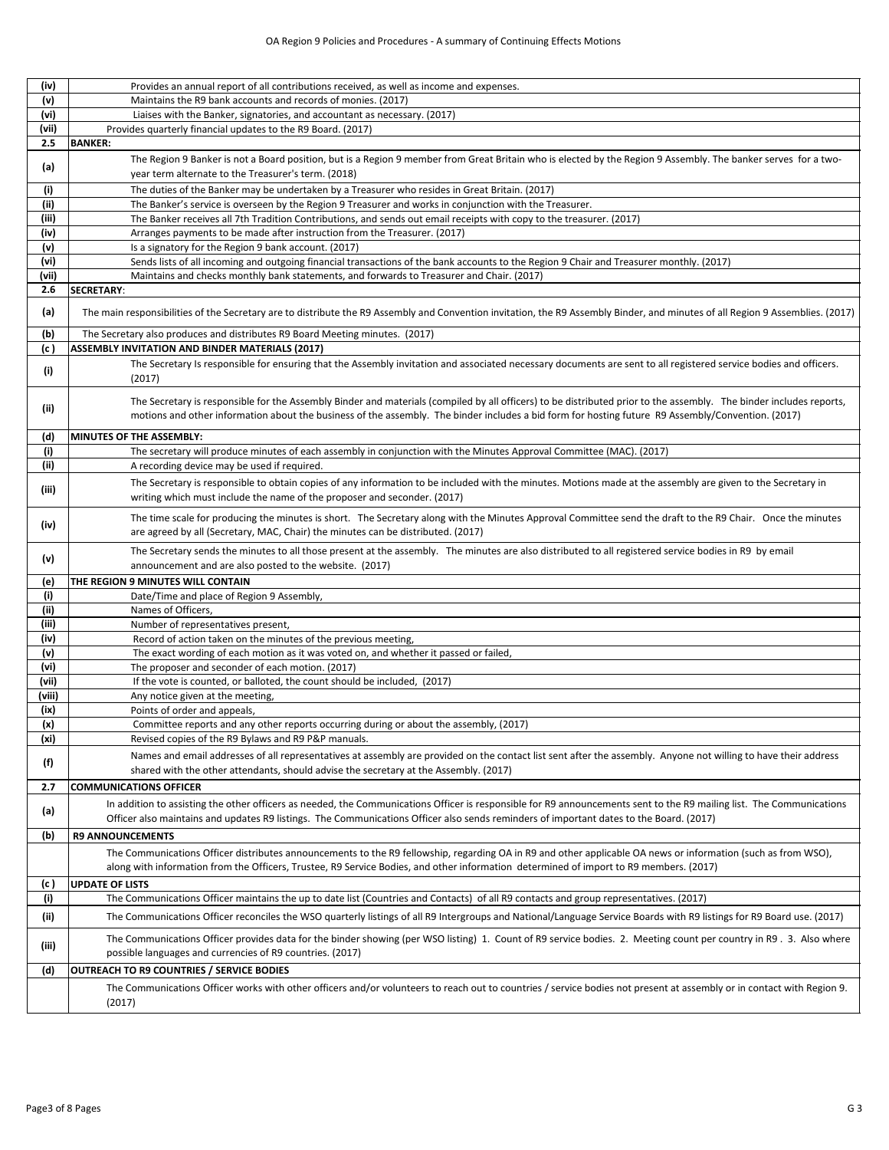| (iv)   | Provides an annual report of all contributions received, as well as income and expenses.                                                                                                                                                                                                                                  |
|--------|---------------------------------------------------------------------------------------------------------------------------------------------------------------------------------------------------------------------------------------------------------------------------------------------------------------------------|
| (v)    | Maintains the R9 bank accounts and records of monies. (2017)                                                                                                                                                                                                                                                              |
| (vi)   | Liaises with the Banker, signatories, and accountant as necessary. (2017)                                                                                                                                                                                                                                                 |
| (vii)  | Provides quarterly financial updates to the R9 Board. (2017)                                                                                                                                                                                                                                                              |
| 2.5    | <b>BANKER:</b>                                                                                                                                                                                                                                                                                                            |
| (a)    | The Region 9 Banker is not a Board position, but is a Region 9 member from Great Britain who is elected by the Region 9 Assembly. The banker serves for a two-<br>year term alternate to the Treasurer's term. (2018)                                                                                                     |
|        | The duties of the Banker may be undertaken by a Treasurer who resides in Great Britain. (2017)                                                                                                                                                                                                                            |
| (i)    |                                                                                                                                                                                                                                                                                                                           |
| (ii)   | The Banker's service is overseen by the Region 9 Treasurer and works in conjunction with the Treasurer.                                                                                                                                                                                                                   |
| (iii)  | The Banker receives all 7th Tradition Contributions, and sends out email receipts with copy to the treasurer. (2017)                                                                                                                                                                                                      |
| (iv)   | Arranges payments to be made after instruction from the Treasurer. (2017)                                                                                                                                                                                                                                                 |
| (v)    | Is a signatory for the Region 9 bank account. (2017)                                                                                                                                                                                                                                                                      |
| (vi)   | Sends lists of all incoming and outgoing financial transactions of the bank accounts to the Region 9 Chair and Treasurer monthly. (2017)                                                                                                                                                                                  |
| (vii)  | Maintains and checks monthly bank statements, and forwards to Treasurer and Chair. (2017)                                                                                                                                                                                                                                 |
| 2.6    | SECRETARY:                                                                                                                                                                                                                                                                                                                |
| (a)    | The main responsibilities of the Secretary are to distribute the R9 Assembly and Convention invitation, the R9 Assembly Binder, and minutes of all Region 9 Assemblies. (2017)                                                                                                                                            |
| (b)    | The Secretary also produces and distributes R9 Board Meeting minutes. (2017)                                                                                                                                                                                                                                              |
| (c)    | ASSEMBLY INVITATION AND BINDER MATERIALS (2017)                                                                                                                                                                                                                                                                           |
| (i)    | The Secretary Is responsible for ensuring that the Assembly invitation and associated necessary documents are sent to all registered service bodies and officers.<br>(2017)                                                                                                                                               |
| (iii)  | The Secretary is responsible for the Assembly Binder and materials (compiled by all officers) to be distributed prior to the assembly. The binder includes reports,<br>motions and other information about the business of the assembly. The binder includes a bid form for hosting future R9 Assembly/Convention. (2017) |
| (d)    | MINUTES OF THE ASSEMBLY:                                                                                                                                                                                                                                                                                                  |
| (i)    | The secretary will produce minutes of each assembly in conjunction with the Minutes Approval Committee (MAC). (2017)                                                                                                                                                                                                      |
| (ii)   | A recording device may be used if required.                                                                                                                                                                                                                                                                               |
| (iii)  | The Secretary is responsible to obtain copies of any information to be included with the minutes. Motions made at the assembly are given to the Secretary in<br>writing which must include the name of the proposer and seconder. (2017)                                                                                  |
| (iv)   | The time scale for producing the minutes is short. The Secretary along with the Minutes Approval Committee send the draft to the R9 Chair. Once the minutes                                                                                                                                                               |
| (v)    | are agreed by all (Secretary, MAC, Chair) the minutes can be distributed. (2017)<br>The Secretary sends the minutes to all those present at the assembly. The minutes are also distributed to all registered service bodies in R9 by email                                                                                |
|        | announcement and are also posted to the website. (2017)                                                                                                                                                                                                                                                                   |
| (e)    | THE REGION 9 MINUTES WILL CONTAIN                                                                                                                                                                                                                                                                                         |
| (i)    | Date/Time and place of Region 9 Assembly,                                                                                                                                                                                                                                                                                 |
| (iii)  | Names of Officers,                                                                                                                                                                                                                                                                                                        |
| (iii)  | Number of representatives present,                                                                                                                                                                                                                                                                                        |
| (iv)   | Record of action taken on the minutes of the previous meeting,                                                                                                                                                                                                                                                            |
| (v)    | The exact wording of each motion as it was voted on, and whether it passed or failed,                                                                                                                                                                                                                                     |
| (vi)   | The proposer and seconder of each motion. (2017)                                                                                                                                                                                                                                                                          |
| (vii)  | If the vote is counted, or balloted, the count should be included, (2017)                                                                                                                                                                                                                                                 |
| (viii) | Any notice given at the meeting,                                                                                                                                                                                                                                                                                          |
| (ix)   | Points of order and appeals,                                                                                                                                                                                                                                                                                              |
| (x)    | Committee reports and any other reports occurring during or about the assembly, (2017)                                                                                                                                                                                                                                    |
| (xi)   | Revised copies of the R9 Bylaws and R9 P&P manuals.                                                                                                                                                                                                                                                                       |
| (f)    | Names and email addresses of all representatives at assembly are provided on the contact list sent after the assembly. Anyone not willing to have their address<br>shared with the other attendants, should advise the secretary at the Assembly. (2017)                                                                  |
| 2.7    | <b>COMMUNICATIONS OFFICER</b>                                                                                                                                                                                                                                                                                             |
| (a)    | In addition to assisting the other officers as needed, the Communications Officer is responsible for R9 announcements sent to the R9 mailing list. The Communications<br>Officer also maintains and updates R9 listings. The Communications Officer also sends reminders of important dates to the Board. (2017)          |
|        | <b>R9 ANNOUNCEMENTS</b>                                                                                                                                                                                                                                                                                                   |
| (b)    |                                                                                                                                                                                                                                                                                                                           |
|        | The Communications Officer distributes announcements to the R9 fellowship, regarding OA in R9 and other applicable OA news or information (such as from WSO),<br>along with information from the Officers, Trustee, R9 Service Bodies, and other information determined of import to R9 members. (2017)                   |
| (c)    | <b>UPDATE OF LISTS</b>                                                                                                                                                                                                                                                                                                    |
| (i)    | The Communications Officer maintains the up to date list (Countries and Contacts) of all R9 contacts and group representatives. (2017)                                                                                                                                                                                    |
| (ii)   | The Communications Officer reconciles the WSO quarterly listings of all R9 Intergroups and National/Language Service Boards with R9 listings for R9 Board use. (2017)                                                                                                                                                     |
| (iii)  | The Communications Officer provides data for the binder showing (per WSO listing) 1. Count of R9 service bodies. 2. Meeting count per country in R9. 3. Also where<br>possible languages and currencies of R9 countries. (2017)                                                                                           |
| (d)    | OUTREACH TO R9 COUNTRIES / SERVICE BODIES                                                                                                                                                                                                                                                                                 |
|        |                                                                                                                                                                                                                                                                                                                           |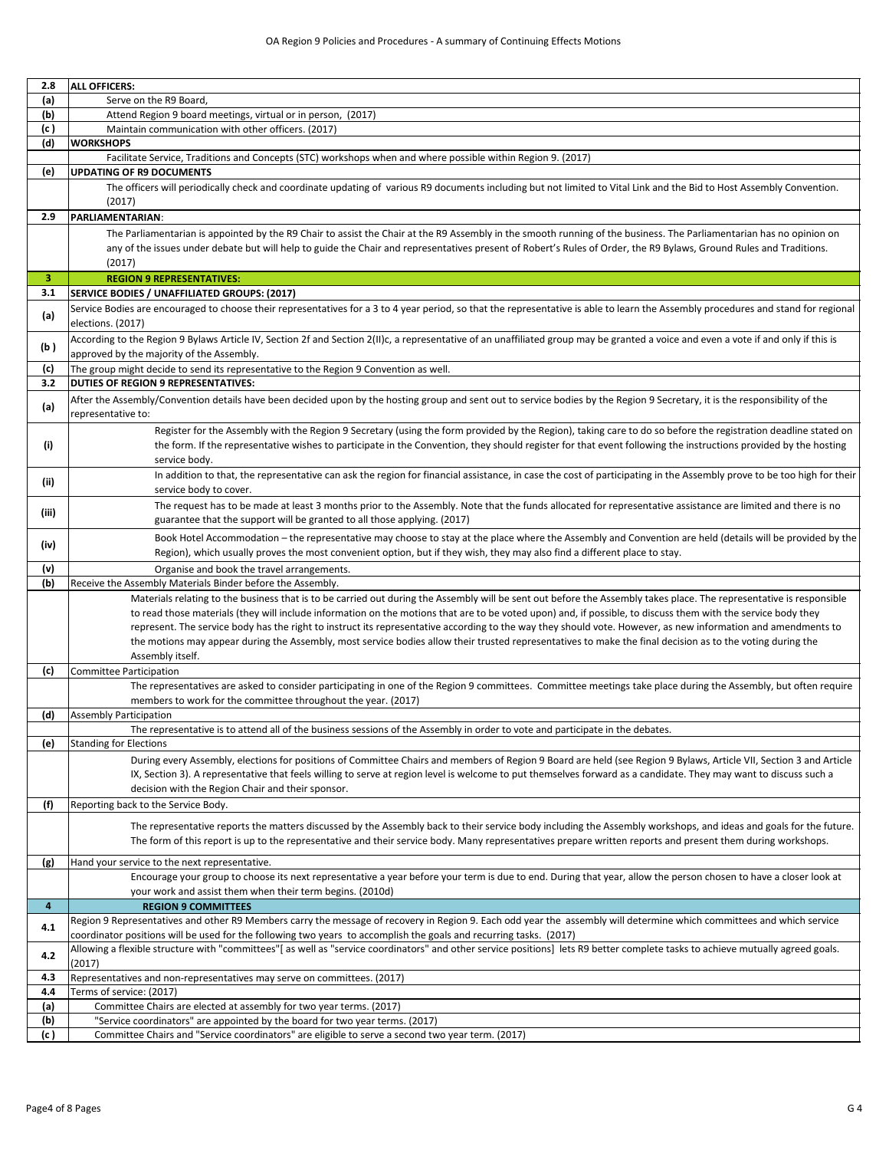| 2.8         | <b>ALL OFFICERS:</b>                                                                                                                                                                                                                                                                   |
|-------------|----------------------------------------------------------------------------------------------------------------------------------------------------------------------------------------------------------------------------------------------------------------------------------------|
| (a)         | Serve on the R9 Board,                                                                                                                                                                                                                                                                 |
| (b)         | Attend Region 9 board meetings, virtual or in person, (2017)                                                                                                                                                                                                                           |
| (c )<br>(d) | Maintain communication with other officers. (2017)                                                                                                                                                                                                                                     |
|             | <b>WORKSHOPS</b><br>Facilitate Service, Traditions and Concepts (STC) workshops when and where possible within Region 9. (2017)                                                                                                                                                        |
| (e)         | <b>UPDATING OF R9 DOCUMENTS</b>                                                                                                                                                                                                                                                        |
|             | The officers will periodically check and coordinate updating of various R9 documents including but not limited to Vital Link and the Bid to Host Assembly Convention.                                                                                                                  |
|             | (2017)                                                                                                                                                                                                                                                                                 |
| 2.9         | PARLIAMENTARIAN:                                                                                                                                                                                                                                                                       |
|             | The Parliamentarian is appointed by the R9 Chair to assist the Chair at the R9 Assembly in the smooth running of the business. The Parliamentarian has no opinion on                                                                                                                   |
|             | any of the issues under debate but will help to guide the Chair and representatives present of Robert's Rules of Order, the R9 Bylaws, Ground Rules and Traditions.                                                                                                                    |
|             | (2017)                                                                                                                                                                                                                                                                                 |
| 3           | <b>REGION 9 REPRESENTATIVES:</b>                                                                                                                                                                                                                                                       |
| 3.1         | SERVICE BODIES / UNAFFILIATED GROUPS: (2017)                                                                                                                                                                                                                                           |
| (a)         | Service Bodies are encouraged to choose their representatives for a 3 to 4 year period, so that the representative is able to learn the Assembly procedures and stand for regional<br>elections. (2017)                                                                                |
| (b)         | According to the Region 9 Bylaws Article IV, Section 2f and Section 2(II)c, a representative of an unaffiliated group may be granted a voice and even a vote if and only if this is<br>approved by the majority of the Assembly.                                                       |
| (c)         | The group might decide to send its representative to the Region 9 Convention as well.                                                                                                                                                                                                  |
| 3.2         | <b>DUTIES OF REGION 9 REPRESENTATIVES:</b>                                                                                                                                                                                                                                             |
|             | After the Assembly/Convention details have been decided upon by the hosting group and sent out to service bodies by the Region 9 Secretary, it is the responsibility of the                                                                                                            |
| (a)         | representative to:                                                                                                                                                                                                                                                                     |
|             | Register for the Assembly with the Region 9 Secretary (using the form provided by the Region), taking care to do so before the registration deadline stated on                                                                                                                         |
| (i)         | the form. If the representative wishes to participate in the Convention, they should register for that event following the instructions provided by the hosting                                                                                                                        |
|             | service body.                                                                                                                                                                                                                                                                          |
| (ii)        | In addition to that, the representative can ask the region for financial assistance, in case the cost of participating in the Assembly prove to be too high for their                                                                                                                  |
|             | service body to cover.                                                                                                                                                                                                                                                                 |
| (iii)       | The request has to be made at least 3 months prior to the Assembly. Note that the funds allocated for representative assistance are limited and there is no<br>guarantee that the support will be granted to all those applying. (2017)                                                |
|             |                                                                                                                                                                                                                                                                                        |
| (iv)        | Book Hotel Accommodation - the representative may choose to stay at the place where the Assembly and Convention are held (details will be provided by the<br>Region), which usually proves the most convenient option, but if they wish, they may also find a different place to stay. |
| (v)         | Organise and book the travel arrangements.                                                                                                                                                                                                                                             |
| (b)         | Receive the Assembly Materials Binder before the Assembly.                                                                                                                                                                                                                             |
|             | Materials relating to the business that is to be carried out during the Assembly will be sent out before the Assembly takes place. The representative is responsible                                                                                                                   |
|             | to read those materials (they will include information on the motions that are to be voted upon) and, if possible, to discuss them with the service body they                                                                                                                          |
|             | represent. The service body has the right to instruct its representative according to the way they should vote. However, as new information and amendments to                                                                                                                          |
|             | the motions may appear during the Assembly, most service bodies allow their trusted representatives to make the final decision as to the voting during the                                                                                                                             |
|             | Assembly itself.                                                                                                                                                                                                                                                                       |
| (c)         | Committee Participation                                                                                                                                                                                                                                                                |
|             | The representatives are asked to consider participating in one of the Region 9 committees. Committee meetings take place during the Assembly, but often require                                                                                                                        |
|             | members to work for the committee throughout the year. (2017)<br><b>Assembly Participation</b>                                                                                                                                                                                         |
| (d)         | The representative is to attend all of the business sessions of the Assembly in order to vote and participate in the debates.                                                                                                                                                          |
| (e)         | <b>Standing for Elections</b>                                                                                                                                                                                                                                                          |
|             | During every Assembly, elections for positions of Committee Chairs and members of Region 9 Board are held (see Region 9 Bylaws, Article VII, Section 3 and Article                                                                                                                     |
|             | IX, Section 3). A representative that feels willing to serve at region level is welcome to put themselves forward as a candidate. They may want to discuss such a                                                                                                                      |
|             | decision with the Region Chair and their sponsor.                                                                                                                                                                                                                                      |
| (f)         | Reporting back to the Service Body.                                                                                                                                                                                                                                                    |
|             | The representative reports the matters discussed by the Assembly back to their service body including the Assembly workshops, and ideas and goals for the future.                                                                                                                      |
|             | The form of this report is up to the representative and their service body. Many representatives prepare written reports and present them during workshops.                                                                                                                            |
| (g)         | Hand your service to the next representative.                                                                                                                                                                                                                                          |
|             | Encourage your group to choose its next representative a year before your term is due to end. During that year, allow the person chosen to have a closer look at                                                                                                                       |
|             | your work and assist them when their term begins. (2010d)                                                                                                                                                                                                                              |
| 4           | <b>REGION 9 COMMITTEES</b>                                                                                                                                                                                                                                                             |
| 4.1         | Region 9 Representatives and other R9 Members carry the message of recovery in Region 9. Each odd year the assembly will determine which committees and which service                                                                                                                  |
|             | coordinator positions will be used for the following two years to accomplish the goals and recurring tasks. (2017)                                                                                                                                                                     |
| 4.2         | Allowing a flexible structure with "committees"[as well as "service coordinators" and other service positions] lets R9 better complete tasks to achieve mutually agreed goals.                                                                                                         |
| 4.3         | (2017)<br>Representatives and non-representatives may serve on committees. (2017)                                                                                                                                                                                                      |
| 4.4         | Terms of service: (2017)                                                                                                                                                                                                                                                               |
| (a)         | Committee Chairs are elected at assembly for two year terms. (2017)                                                                                                                                                                                                                    |
| (b)         | "Service coordinators" are appointed by the board for two year terms. (2017)                                                                                                                                                                                                           |
| (c)         | Committee Chairs and "Service coordinators" are eligible to serve a second two year term. (2017)                                                                                                                                                                                       |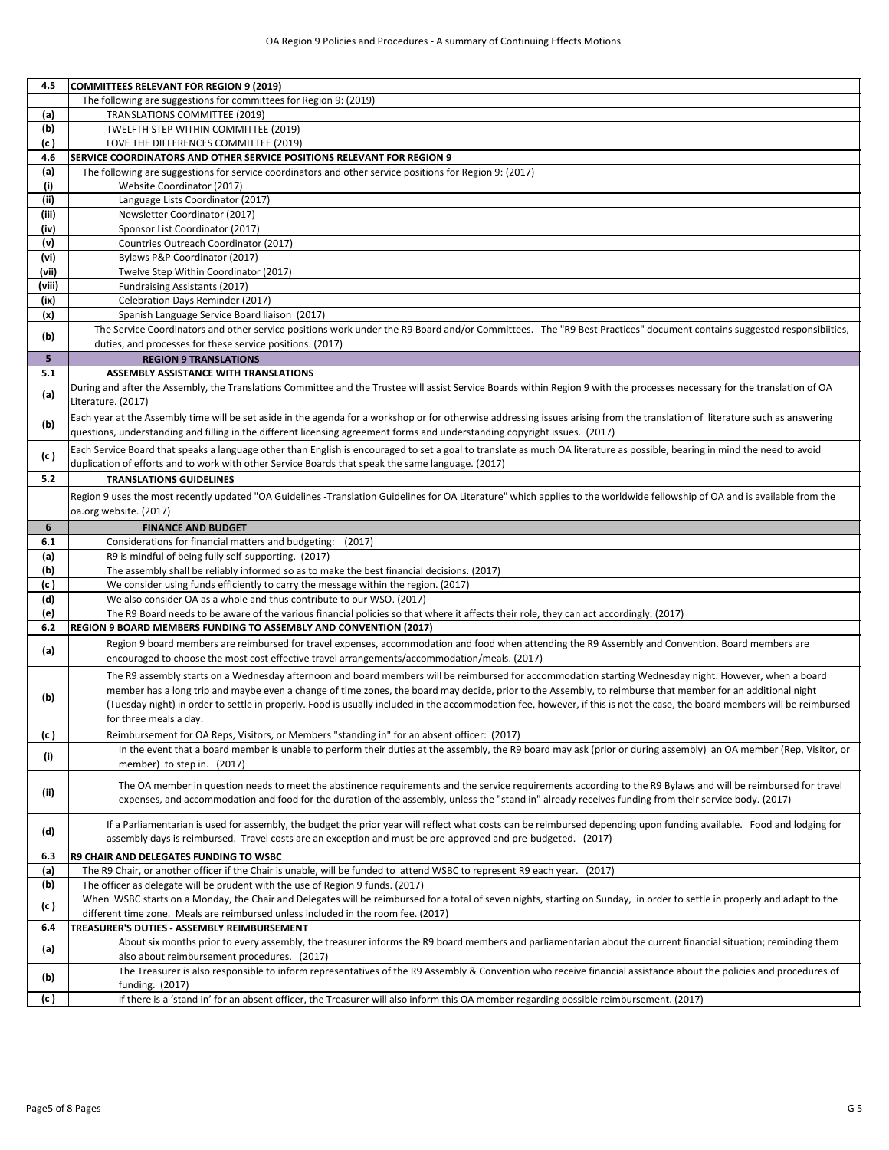| 4.5            | <b>COMMITTEES RELEVANT FOR REGION 9 (2019)</b>                                                                                                                                                                                                                                                                                                                                                                                                                                                                               |
|----------------|------------------------------------------------------------------------------------------------------------------------------------------------------------------------------------------------------------------------------------------------------------------------------------------------------------------------------------------------------------------------------------------------------------------------------------------------------------------------------------------------------------------------------|
|                | The following are suggestions for committees for Region 9: (2019)                                                                                                                                                                                                                                                                                                                                                                                                                                                            |
| (a)            | TRANSLATIONS COMMITTEE (2019)                                                                                                                                                                                                                                                                                                                                                                                                                                                                                                |
| (b)            | TWELFTH STEP WITHIN COMMITTEE (2019)                                                                                                                                                                                                                                                                                                                                                                                                                                                                                         |
| (c)            | LOVE THE DIFFERENCES COMMITTEE (2019)                                                                                                                                                                                                                                                                                                                                                                                                                                                                                        |
| 4.6            | <b>SERVICE COORDINATORS AND OTHER SERVICE POSITIONS RELEVANT FOR REGION 9</b>                                                                                                                                                                                                                                                                                                                                                                                                                                                |
| (a)            | The following are suggestions for service coordinators and other service positions for Region 9: (2017)                                                                                                                                                                                                                                                                                                                                                                                                                      |
| (i)            | Website Coordinator (2017)                                                                                                                                                                                                                                                                                                                                                                                                                                                                                                   |
| (ii)           | Language Lists Coordinator (2017)                                                                                                                                                                                                                                                                                                                                                                                                                                                                                            |
| (iii)          | Newsletter Coordinator (2017)                                                                                                                                                                                                                                                                                                                                                                                                                                                                                                |
| (iv)           | Sponsor List Coordinator (2017)                                                                                                                                                                                                                                                                                                                                                                                                                                                                                              |
| (v)            | Countries Outreach Coordinator (2017)                                                                                                                                                                                                                                                                                                                                                                                                                                                                                        |
| (vi)           | Bylaws P&P Coordinator (2017)                                                                                                                                                                                                                                                                                                                                                                                                                                                                                                |
| (vii)          |                                                                                                                                                                                                                                                                                                                                                                                                                                                                                                                              |
| (viii)         | Twelve Step Within Coordinator (2017)<br><b>Fundraising Assistants (2017)</b>                                                                                                                                                                                                                                                                                                                                                                                                                                                |
| (ix)           |                                                                                                                                                                                                                                                                                                                                                                                                                                                                                                                              |
|                | Celebration Days Reminder (2017)                                                                                                                                                                                                                                                                                                                                                                                                                                                                                             |
| (x)            | Spanish Language Service Board liaison (2017)                                                                                                                                                                                                                                                                                                                                                                                                                                                                                |
| (b)            | The Service Coordinators and other service positions work under the R9 Board and/or Committees. The "R9 Best Practices" document contains suggested responsibiities,                                                                                                                                                                                                                                                                                                                                                         |
|                | duties, and processes for these service positions. (2017)                                                                                                                                                                                                                                                                                                                                                                                                                                                                    |
| 5 <sub>1</sub> | <b>REGION 9 TRANSLATIONS</b>                                                                                                                                                                                                                                                                                                                                                                                                                                                                                                 |
| 5.1            | <b>ASSEMBLY ASSISTANCE WITH TRANSLATIONS</b>                                                                                                                                                                                                                                                                                                                                                                                                                                                                                 |
| (a)            | During and after the Assembly, the Translations Committee and the Trustee will assist Service Boards within Region 9 with the processes necessary for the translation of OA<br>Literature. (2017)                                                                                                                                                                                                                                                                                                                            |
| (b)            | Each year at the Assembly time will be set aside in the agenda for a workshop or for otherwise addressing issues arising from the translation of literature such as answering<br>questions, understanding and filling in the different licensing agreement forms and understanding copyright issues. (2017)                                                                                                                                                                                                                  |
| (c)            | Each Service Board that speaks a language other than English is encouraged to set a goal to translate as much OA literature as possible, bearing in mind the need to avoid<br>duplication of efforts and to work with other Service Boards that speak the same language. (2017)                                                                                                                                                                                                                                              |
| 5.2            | <b>TRANSLATIONS GUIDELINES</b>                                                                                                                                                                                                                                                                                                                                                                                                                                                                                               |
|                | Region 9 uses the most recently updated "OA Guidelines -Translation Guidelines for OA Literature" which applies to the worldwide fellowship of OA and is available from the                                                                                                                                                                                                                                                                                                                                                  |
|                | oa.org website. (2017)                                                                                                                                                                                                                                                                                                                                                                                                                                                                                                       |
| 6              | <b>FINANCE AND BUDGET</b>                                                                                                                                                                                                                                                                                                                                                                                                                                                                                                    |
| 6.1            | Considerations for financial matters and budgeting:<br>(2017)                                                                                                                                                                                                                                                                                                                                                                                                                                                                |
| (a)            | R9 is mindful of being fully self-supporting. (2017)                                                                                                                                                                                                                                                                                                                                                                                                                                                                         |
| (b)            | The assembly shall be reliably informed so as to make the best financial decisions. (2017)                                                                                                                                                                                                                                                                                                                                                                                                                                   |
| (c)            | We consider using funds efficiently to carry the message within the region. (2017)                                                                                                                                                                                                                                                                                                                                                                                                                                           |
| (d)            | We also consider OA as a whole and thus contribute to our WSO. (2017)                                                                                                                                                                                                                                                                                                                                                                                                                                                        |
| (e)            | The R9 Board needs to be aware of the various financial policies so that where it affects their role, they can act accordingly. (2017)                                                                                                                                                                                                                                                                                                                                                                                       |
| 6.2            | REGION 9 BOARD MEMBERS FUNDING TO ASSEMBLY AND CONVENTION (2017)                                                                                                                                                                                                                                                                                                                                                                                                                                                             |
|                | Region 9 board members are reimbursed for travel expenses, accommodation and food when attending the R9 Assembly and Convention. Board members are                                                                                                                                                                                                                                                                                                                                                                           |
| (a)            | encouraged to choose the most cost effective travel arrangements/accommodation/meals. (2017)                                                                                                                                                                                                                                                                                                                                                                                                                                 |
| (b)            | The R9 assembly starts on a Wednesday afternoon and board members will be reimbursed for accommodation starting Wednesday night. However, when a board<br>member has a long trip and maybe even a change of time zones, the board may decide, prior to the Assembly, to reimburse that member for an additional night<br>(Tuesday night) in order to settle in properly. Food is usually included in the accommodation fee, however, if this is not the case, the board members will be reimbursed<br>for three meals a day. |
| (c)            | Reimbursement for OA Reps, Visitors, or Members "standing in" for an absent officer: (2017)                                                                                                                                                                                                                                                                                                                                                                                                                                  |
| (i)            | In the event that a board member is unable to perform their duties at the assembly, the R9 board may ask (prior or during assembly) an OA member (Rep, Visitor, or<br>member) to step in. (2017)                                                                                                                                                                                                                                                                                                                             |
| (ii)           | The OA member in question needs to meet the abstinence requirements and the service requirements according to the R9 Bylaws and will be reimbursed for travel<br>expenses, and accommodation and food for the duration of the assembly, unless the "stand in" already receives funding from their service body. (2017)                                                                                                                                                                                                       |
| (d)            | If a Parliamentarian is used for assembly, the budget the prior year will reflect what costs can be reimbursed depending upon funding available. Food and lodging for<br>assembly days is reimbursed. Travel costs are an exception and must be pre-approved and pre-budgeted. (2017)                                                                                                                                                                                                                                        |
| 6.3            | R9 CHAIR AND DELEGATES FUNDING TO WSBC                                                                                                                                                                                                                                                                                                                                                                                                                                                                                       |
| (a)            | The R9 Chair, or another officer if the Chair is unable, will be funded to attend WSBC to represent R9 each year. (2017)                                                                                                                                                                                                                                                                                                                                                                                                     |
| (b)            | The officer as delegate will be prudent with the use of Region 9 funds. (2017)                                                                                                                                                                                                                                                                                                                                                                                                                                               |
| (c )           | When WSBC starts on a Monday, the Chair and Delegates will be reimbursed for a total of seven nights, starting on Sunday, in order to settle in properly and adapt to the<br>different time zone. Meals are reimbursed unless included in the room fee. (2017)                                                                                                                                                                                                                                                               |
| 6.4            | TREASURER'S DUTIES - ASSEMBLY REIMBURSEMENT                                                                                                                                                                                                                                                                                                                                                                                                                                                                                  |
| (a)            | About six months prior to every assembly, the treasurer informs the R9 board members and parliamentarian about the current financial situation; reminding them<br>also about reimbursement procedures. (2017)                                                                                                                                                                                                                                                                                                                |
| (b)            | The Treasurer is also responsible to inform representatives of the R9 Assembly & Convention who receive financial assistance about the policies and procedures of<br>funding. (2017)                                                                                                                                                                                                                                                                                                                                         |
| (c )           | If there is a 'stand in' for an absent officer, the Treasurer will also inform this OA member regarding possible reimbursement. (2017)                                                                                                                                                                                                                                                                                                                                                                                       |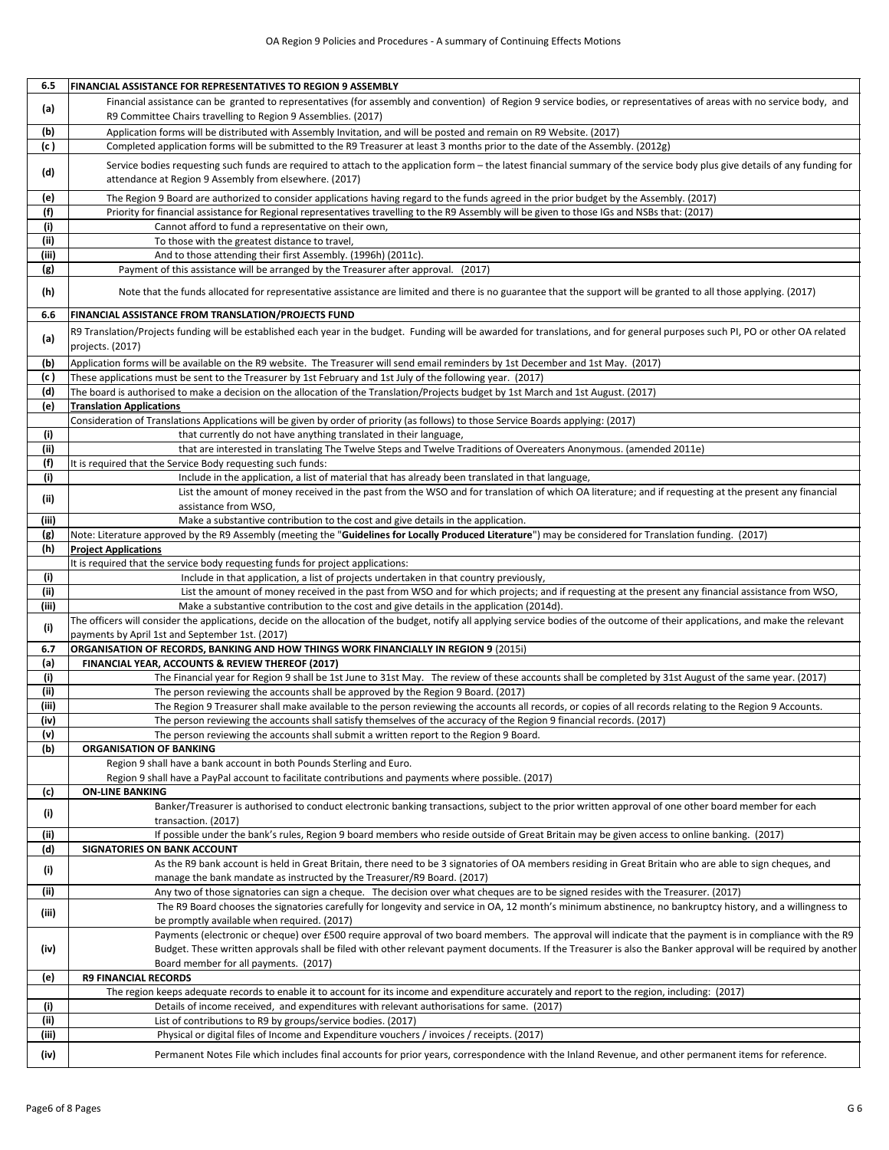| 6.5        | FINANCIAL ASSISTANCE FOR REPRESENTATIVES TO REGION 9 ASSEMBLY                                                                                                                                                                                           |
|------------|---------------------------------------------------------------------------------------------------------------------------------------------------------------------------------------------------------------------------------------------------------|
| (a)        | Financial assistance can be granted to representatives (for assembly and convention) of Region 9 service bodies, or representatives of areas with no service body, and<br>R9 Committee Chairs travelling to Region 9 Assemblies. (2017)                 |
| (b)        | Application forms will be distributed with Assembly Invitation, and will be posted and remain on R9 Website. (2017)                                                                                                                                     |
| (c)        | Completed application forms will be submitted to the R9 Treasurer at least 3 months prior to the date of the Assembly. (2012g)                                                                                                                          |
| (d)        | Service bodies requesting such funds are required to attach to the application form - the latest financial summary of the service body plus give details of any funding for<br>attendance at Region 9 Assembly from elsewhere. (2017)                   |
| (e)        | The Region 9 Board are authorized to consider applications having regard to the funds agreed in the prior budget by the Assembly. (2017)                                                                                                                |
| (f)        | Priority for financial assistance for Regional representatives travelling to the R9 Assembly will be given to those IGs and NSBs that: (2017)                                                                                                           |
| (i)        | Cannot afford to fund a representative on their own,                                                                                                                                                                                                    |
| (ii)       | To those with the greatest distance to travel,                                                                                                                                                                                                          |
| (iii)      | And to those attending their first Assembly. (1996h) (2011c).                                                                                                                                                                                           |
| (g)<br>(h) | Payment of this assistance will be arranged by the Treasurer after approval. (2017)<br>Note that the funds allocated for representative assistance are limited and there is no guarantee that the support will be granted to all those applying. (2017) |
| 6.6        | FINANCIAL ASSISTANCE FROM TRANSLATION/PROJECTS FUND                                                                                                                                                                                                     |
|            | R9 Translation/Projects funding will be established each year in the budget. Funding will be awarded for translations, and for general purposes such PI, PO or other OA related                                                                         |
| (a)        | projects. (2017)                                                                                                                                                                                                                                        |
| (b)        | Application forms will be available on the R9 website. The Treasurer will send email reminders by 1st December and 1st May. (2017)                                                                                                                      |
| (c )       | These applications must be sent to the Treasurer by 1st February and 1st July of the following year. (2017)                                                                                                                                             |
| (d)<br>(e) | The board is authorised to make a decision on the allocation of the Translation/Projects budget by 1st March and 1st August. (2017)<br><b>Translation Applications</b>                                                                                  |
|            | Consideration of Translations Applications will be given by order of priority (as follows) to those Service Boards applying: (2017)                                                                                                                     |
| (i)        | that currently do not have anything translated in their language,                                                                                                                                                                                       |
| (ii)       | that are interested in translating The Twelve Steps and Twelve Traditions of Overeaters Anonymous. (amended 2011e)                                                                                                                                      |
| (f)        | It is required that the Service Body requesting such funds:                                                                                                                                                                                             |
| (i)        | Include in the application, a list of material that has already been translated in that language,                                                                                                                                                       |
|            | List the amount of money received in the past from the WSO and for translation of which OA literature; and if requesting at the present any financial                                                                                                   |
| (ii)       | assistance from WSO,                                                                                                                                                                                                                                    |
| (iii)      | Make a substantive contribution to the cost and give details in the application.                                                                                                                                                                        |
| (g)        | Note: Literature approved by the R9 Assembly (meeting the "Guidelines for Locally Produced Literature") may be considered for Translation funding. (2017)                                                                                               |
| (h)        | <b>Project Applications</b>                                                                                                                                                                                                                             |
|            | It is required that the service body requesting funds for project applications:                                                                                                                                                                         |
| (i)        | Include in that application, a list of projects undertaken in that country previously,                                                                                                                                                                  |
| (ii)       | List the amount of money received in the past from WSO and for which projects; and if requesting at the present any financial assistance from WSO,                                                                                                      |
| (iii)      | Make a substantive contribution to the cost and give details in the application (2014d).                                                                                                                                                                |
| (i)        | The officers will consider the applications, decide on the allocation of the budget, notify all applying service bodies of the outcome of their applications, and make the relevant<br>payments by April 1st and September 1st. (2017)                  |
| 6.7        | ORGANISATION OF RECORDS, BANKING AND HOW THINGS WORK FINANCIALLY IN REGION 9 (2015i)                                                                                                                                                                    |
| (a)        | FINANCIAL YEAR, ACCOUNTS & REVIEW THEREOF (2017)                                                                                                                                                                                                        |
| (i)        | The Financial year for Region 9 shall be 1st June to 31st May. The review of these accounts shall be completed by 31st August of the same year. (2017)                                                                                                  |
| (ii)       | The person reviewing the accounts shall be approved by the Region 9 Board. (2017)                                                                                                                                                                       |
| (iii)      | The Region 9 Treasurer shall make available to the person reviewing the accounts all records, or copies of all records relating to the Region 9 Accounts.                                                                                               |
| (iv)       |                                                                                                                                                                                                                                                         |
| (v)        | The person reviewing the accounts shall satisfy themselves of the accuracy of the Region 9 financial records. (2017)                                                                                                                                    |
| (b)        | The person reviewing the accounts shall submit a written report to the Region 9 Board.                                                                                                                                                                  |
|            | <b>ORGANISATION OF BANKING</b>                                                                                                                                                                                                                          |
|            | Region 9 shall have a bank account in both Pounds Sterling and Euro.                                                                                                                                                                                    |
|            | Region 9 shall have a PayPal account to facilitate contributions and payments where possible. (2017)                                                                                                                                                    |
| (c)        | <b>ON-LINE BANKING</b>                                                                                                                                                                                                                                  |
| (i)        | Banker/Treasurer is authorised to conduct electronic banking transactions, subject to the prior written approval of one other board member for each                                                                                                     |
|            | transaction. (2017)                                                                                                                                                                                                                                     |
| (ii)       | If possible under the bank's rules, Region 9 board members who reside outside of Great Britain may be given access to online banking. (2017)                                                                                                            |
| (d)        | <b>SIGNATORIES ON BANK ACCOUNT</b>                                                                                                                                                                                                                      |
| (i)        | As the R9 bank account is held in Great Britain, there need to be 3 signatories of OA members residing in Great Britain who are able to sign cheques, and                                                                                               |
| (ii)       | manage the bank mandate as instructed by the Treasurer/R9 Board. (2017)<br>Any two of those signatories can sign a cheque. The decision over what cheques are to be signed resides with the Treasurer. (2017)                                           |
|            | The R9 Board chooses the signatories carefully for longevity and service in OA, 12 month's minimum abstinence, no bankruptcy history, and a willingness to                                                                                              |
| (iii)      | be promptly available when required. (2017)                                                                                                                                                                                                             |
|            | Payments (electronic or cheque) over £500 require approval of two board members. The approval will indicate that the payment is in compliance with the R9                                                                                               |
| (iv)       | Budget. These written approvals shall be filed with other relevant payment documents. If the Treasurer is also the Banker approval will be required by another                                                                                          |
|            | Board member for all payments. (2017)                                                                                                                                                                                                                   |
| (e)        | <b>R9 FINANCIAL RECORDS</b>                                                                                                                                                                                                                             |
|            | The region keeps adequate records to enable it to account for its income and expenditure accurately and report to the region, including: (2017)                                                                                                         |
| (i)        | Details of income received, and expenditures with relevant authorisations for same. (2017)                                                                                                                                                              |
| (ii)       | List of contributions to R9 by groups/service bodies. (2017)                                                                                                                                                                                            |
| (iii)      | Physical or digital files of Income and Expenditure vouchers / invoices / receipts. (2017)                                                                                                                                                              |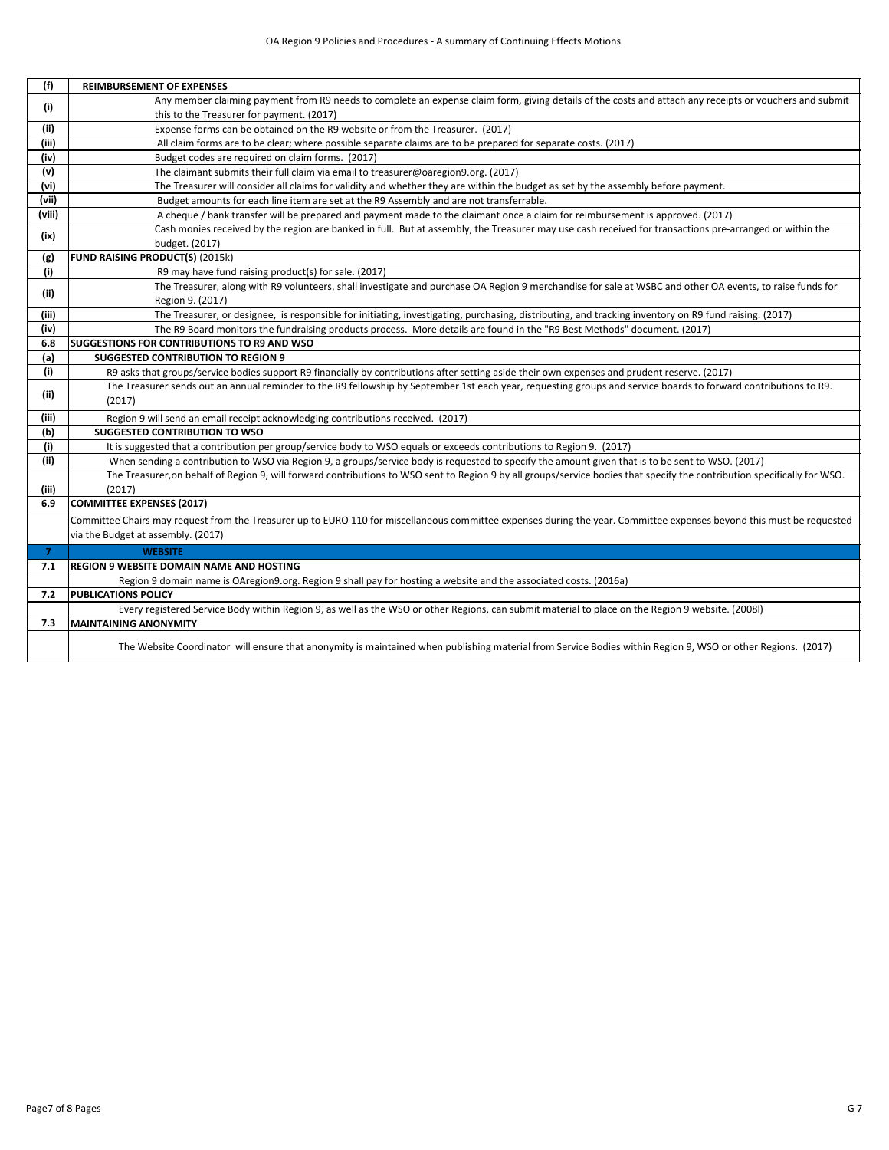| (f)            | <b>REIMBURSEMENT OF EXPENSES</b>                                                                                                                                          |
|----------------|---------------------------------------------------------------------------------------------------------------------------------------------------------------------------|
|                | Any member claiming payment from R9 needs to complete an expense claim form, giving details of the costs and attach any receipts or vouchers and submit                   |
| (i)            | this to the Treasurer for payment. (2017)                                                                                                                                 |
| (ii)           | Expense forms can be obtained on the R9 website or from the Treasurer. (2017)                                                                                             |
| (iii)          | All claim forms are to be clear; where possible separate claims are to be prepared for separate costs. (2017)                                                             |
| (iv)           | Budget codes are required on claim forms. (2017)                                                                                                                          |
| (v)            | The claimant submits their full claim via email to treasurer@oaregion9.org. (2017)                                                                                        |
| (vi)           | The Treasurer will consider all claims for validity and whether they are within the budget as set by the assembly before payment.                                         |
| (vii)          | Budget amounts for each line item are set at the R9 Assembly and are not transferrable.                                                                                   |
| (viii)         | A cheque / bank transfer will be prepared and payment made to the claimant once a claim for reimbursement is approved. (2017)                                             |
|                | Cash monies received by the region are banked in full. But at assembly, the Treasurer may use cash received for transactions pre-arranged or within the                   |
| (ix)           | budget. (2017)                                                                                                                                                            |
| (g)            | <b>FUND RAISING PRODUCT(S) (2015k)</b>                                                                                                                                    |
| (i)            | R9 may have fund raising product(s) for sale. (2017)                                                                                                                      |
| (ii)           | The Treasurer, along with R9 volunteers, shall investigate and purchase OA Region 9 merchandise for sale at WSBC and other OA events, to raise funds for                  |
|                | Region 9. (2017)                                                                                                                                                          |
| (iii)          | The Treasurer, or designee, is responsible for initiating, investigating, purchasing, distributing, and tracking inventory on R9 fund raising. (2017)                     |
| (iv)           | The R9 Board monitors the fundraising products process. More details are found in the "R9 Best Methods" document. (2017)                                                  |
| 6.8            | <b>SUGGESTIONS FOR CONTRIBUTIONS TO R9 AND WSO</b>                                                                                                                        |
| (a)            | <b>SUGGESTED CONTRIBUTION TO REGION 9</b>                                                                                                                                 |
| (i)            | R9 asks that groups/service bodies support R9 financially by contributions after setting aside their own expenses and prudent reserve. (2017)                             |
| (ii)           | The Treasurer sends out an annual reminder to the R9 fellowship by September 1st each year, requesting groups and service boards to forward contributions to R9.          |
|                | (2017)                                                                                                                                                                    |
| (iii)          | Region 9 will send an email receipt acknowledging contributions received. (2017)                                                                                          |
| (b)            | <b>SUGGESTED CONTRIBUTION TO WSO</b>                                                                                                                                      |
| (i)            | It is suggested that a contribution per group/service body to WSO equals or exceeds contributions to Region 9. (2017)                                                     |
| (ii)           | When sending a contribution to WSO via Region 9, a groups/service body is requested to specify the amount given that is to be sent to WSO. (2017)                         |
|                | The Treasurer, on behalf of Region 9, will forward contributions to WSO sent to Region 9 by all groups/service bodies that specify the contribution specifically for WSO. |
| (iii)          | (2017)                                                                                                                                                                    |
| 6.9            | <b>COMMITTEE EXPENSES (2017)</b>                                                                                                                                          |
|                | Committee Chairs may request from the Treasurer up to EURO 110 for miscellaneous committee expenses during the year. Committee expenses beyond this must be requested     |
|                | via the Budget at assembly. (2017)                                                                                                                                        |
| $\overline{7}$ | <b>WEBSITE</b>                                                                                                                                                            |
| 7.1            | <b>REGION 9 WEBSITE DOMAIN NAME AND HOSTING</b>                                                                                                                           |
|                | Region 9 domain name is OAregion9.org. Region 9 shall pay for hosting a website and the associated costs. (2016a)                                                         |
| 7.2            | <b>PUBLICATIONS POLICY</b>                                                                                                                                                |
|                | Every registered Service Body within Region 9, as well as the WSO or other Regions, can submit material to place on the Region 9 website. (2008l)                         |
| 7.3            | <b>MAINTAINING ANONYMITY</b>                                                                                                                                              |
|                | The Website Coordinator will ensure that anonymity is maintained when publishing material from Service Bodies within Region 9, WSO or other Regions. (2017)               |